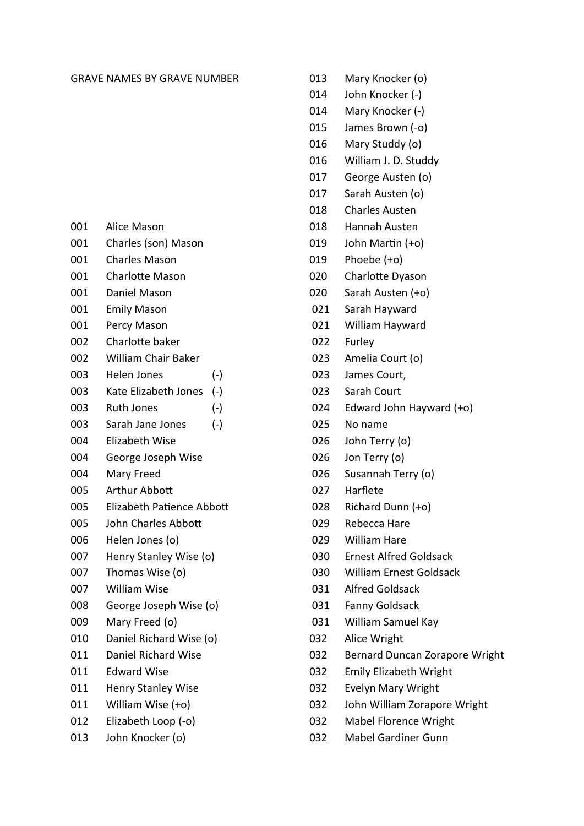## GRAVE NAMES BY GRAVE NUMBER

- 001 Alice Mason
- 001 Charles (son) Mason
- 001 Charles Mason
- 001 Charlotte Mason
- 001 Daniel Mason
- 001 Emily Mason
- 001 Percy Mason
- 002 Charlotte baker
- 002 William Chair Baker
- 003 Helen Jones (-)
- 003 Kate Elizabeth Jones (-)
- 003 Ruth Jones (-)
- 003 Sarah Jane Jones (-)
- 004 Elizabeth Wise
- 004 George Joseph Wise
- 004 Mary Freed
- 005 Arthur Abbott
- 005 Elizabeth Patience Abbott
- 005 John Charles Abbott
- 006 Helen Jones (o)
- 007 Henry Stanley Wise (o)
- 007 Thomas Wise (o)
- 007 William Wise
- 008 George Joseph Wise (o)
- 009 Mary Freed (o)
- 010 Daniel Richard Wise (o)
- 011 Daniel Richard Wise
- 011 Edward Wise
- 011 Henry Stanley Wise
- 011 William Wise (+o)
- 012 Elizabeth Loop (-o)
- 013 John Knocker (o)
- 013 Mary Knocker (o)
- 014 John Knocker (-)
- 014 Mary Knocker (-)
- 015 James Brown (-o)
- 016 Mary Studdy (o)
- 016 William J. D. Studdy
- 017 George Austen (o)
- 017 Sarah Austen (o)
- 018 Charles Austen
- 018 Hannah Austen
- 019 John Martin (+o)
- 019 Phoebe (+o)
- 020 Charlotte Dyason
- 020 Sarah Austen (+o)
- 021 Sarah Hayward
- 021 William Hayward
- 022 Furley
- 023 Amelia Court (o)
- 023 James Court,
- 023 Sarah Court
- 024 Edward John Hayward (+o)
- 025 No name
- 026 John Terry (o)
- 026 Jon Terry (o)
- 026 Susannah Terry (o)
- 027 Harflete
- 028 Richard Dunn (+o)
- 029 Rebecca Hare
- 029 William Hare
- 030 Ernest Alfred Goldsack
- 030 William Ernest Goldsack
- 031 Alfred Goldsack
- 031 Fanny Goldsack
- 031 William Samuel Kay
- 032 Alice Wright
- 032 Bernard Duncan Zorapore Wright
- 032 Emily Elizabeth Wright
- 032 Evelyn Mary Wright
- 032 John William Zorapore Wright
- 032 Mabel Florence Wright
- 032 Mabel Gardiner Gunn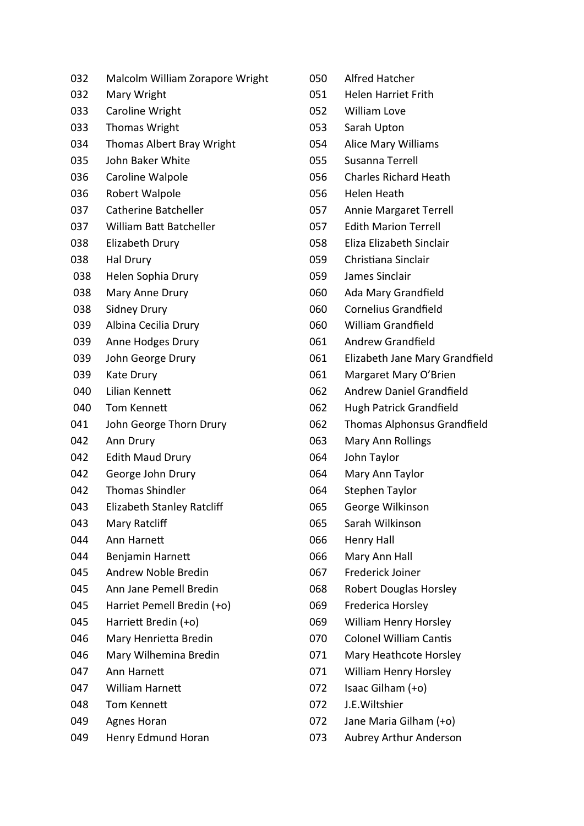- 032 Malcolm William Zorapore Wright
- 032 Mary Wright
- 033 Caroline Wright
- 033 Thomas Wright
- 034 Thomas Albert Bray Wright
- 035 John Baker White
- 036 Caroline Walpole
- 036 Robert Walpole
- 037 Catherine Batcheller
- 037 William Batt Batcheller
- 038 Elizabeth Drury
- 038 Hal Drury
- 038 Helen Sophia Drury
- 038 Mary Anne Drury
- 038 Sidney Drury
- 039 Albina Cecilia Drury
- 039 Anne Hodges Drury
- 039 John George Drury
- 039 Kate Drury
- 040 Lilian Kennett
- 040 Tom Kennett
- 041 John George Thorn Drury
- 042 Ann Drury
- 042 Edith Maud Drury
- 042 George John Drury
- 042 Thomas Shindler
- 043 Elizabeth Stanley Ratcliff
- 043 Mary Ratcliff
- 044 Ann Harnett
- 044 Benjamin Harnett
- 045 Andrew Noble Bredin
- 045 Ann Jane Pemell Bredin
- 045 Harriet Pemell Bredin (+o)
- 045 Harriett Bredin (+o)
- 046 Mary Henrietta Bredin
- 046 Mary Wilhemina Bredin
- 047 Ann Harnett
- 047 William Harnett
- 048 Tom Kennett
- 049 Agnes Horan
- 049 Henry Edmund Horan
- 050 Alfred Hatcher
- 051 Helen Harriet Frith
- 052 William Love
- 053 Sarah Upton
- 054 Alice Mary Williams
- 055 Susanna Terrell
- 056 Charles Richard Heath
- 056 Helen Heath
- 057 Annie Margaret Terrell
- 057 Edith Marion Terrell
- 058 Eliza Elizabeth Sinclair
- 059 Christiana Sinclair
- 059 James Sinclair
- 060 Ada Mary Grandfield
- 060 Cornelius Grandfield
- 060 William Grandfield
- 061 Andrew Grandfield
- 061 Elizabeth Jane Mary Grandfield
- 061 Margaret Mary O'Brien
- 062 Andrew Daniel Grandfield
- 062 Hugh Patrick Grandfield
- 062 Thomas Alphonsus Grandfield
- 063 Mary Ann Rollings
- 064 John Taylor
- 064 Mary Ann Taylor
- 064 Stephen Taylor
- 065 George Wilkinson
- 065 Sarah Wilkinson
- 066 Henry Hall
- 066 Mary Ann Hall
- 067 Frederick Joiner
- 068 Robert Douglas Horsley
- 069 Frederica Horsley
- 069 William Henry Horsley
- 070 Colonel William Cantis
- 071 Mary Heathcote Horsley
- 071 William Henry Horsley
- 072 Isaac Gilham (+o)
- 072 J.E.Wiltshier
- 072 Jane Maria Gilham (+o)
- 073 Aubrey Arthur Anderson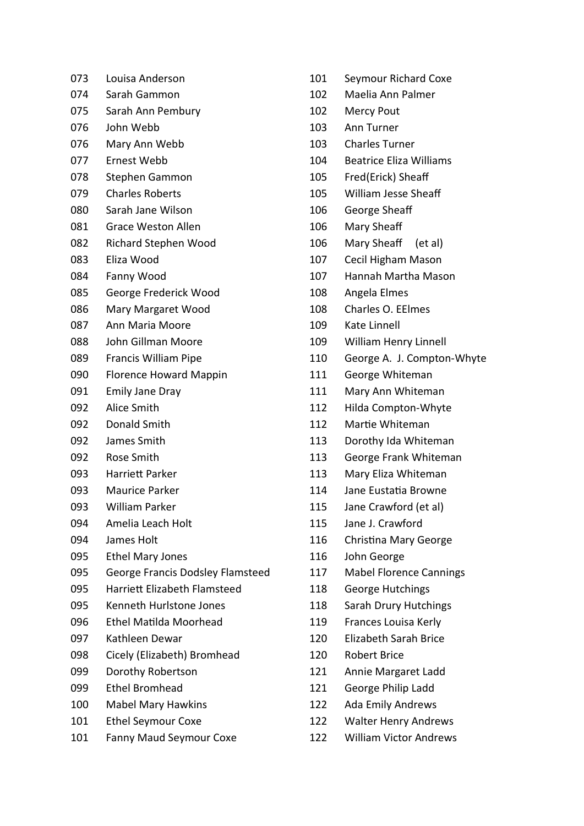| 073 | Louisa Anderson                     |
|-----|-------------------------------------|
| 074 | Sarah Gammon                        |
| 075 | Sarah Ann Pembury                   |
| 076 | John Webb                           |
| 076 | Mary Ann Webb                       |
| 077 | Ernest Webb                         |
| 078 | Stephen Gammon                      |
| 079 | <b>Charles Roberts</b>              |
| 080 | Sarah Jane Wilson                   |
| 081 | <b>Grace Weston Allen</b>           |
| 082 | Richard Stephen Wood                |
| 083 | Eliza Wood                          |
| 084 | Fanny Wood                          |
| 085 | George Frederick Wood               |
| 086 | Mary Margaret Wood                  |
| 087 | Ann Maria Moore                     |
| 088 | John Gillman Moore                  |
| 089 | Francis William Pipe                |
| 090 | <b>Florence Howard Mappin</b>       |
| 091 | <b>Emily Jane Dray</b>              |
| 092 | <b>Alice Smith</b>                  |
| 092 | Donald Smith                        |
| 092 | James Smith                         |
| 092 | Rose Smith                          |
| 093 | Harriett Parker                     |
| 093 | <b>Maurice Parker</b>               |
| 093 | William Parker                      |
| 094 | Amelia Leach Holt                   |
| 094 | James Holt                          |
| 095 | <b>Ethel Mary Jones</b>             |
| 095 | George Francis Dodsley Flamsteed    |
| 095 | <b>Harriett Elizabeth Flamsteed</b> |
| 095 | Kenneth Hurlstone Jones             |
| 096 | <b>Ethel Matilda Moorhead</b>       |
| 097 | Kathleen Dewar                      |
| 098 | Cicely (Elizabeth) Bromhead         |
| 099 | Dorothy Robertson                   |
| 099 | <b>Ethel Bromhead</b>               |
| 100 | <b>Mabel Mary Hawkins</b>           |
| 101 | <b>Ethel Seymour Coxe</b>           |
|     |                                     |

- 101 Fanny Maud Seymour Coxe
- 101 Seymour Richard Coxe 102 Maelia Ann Palmer 102 Mercy Pout 103 Ann Turner 103 Charles Turner 104 Beatrice Eliza Williams 105 Fred(Erick) Sheaff 105 William Jesse Sheaff 106 George Sheaff 106 Mary Sheaff 106 Mary Sheaff (et al) 107 Cecil Higham Mason 107 Hannah Martha Mason 108 Angela Elmes 108 Charles O. EElmes 109 Kate Linnell 109 William Henry Linnell 110 George A. J. Compton-Whyte 111 George Whiteman 111 Mary Ann Whiteman 112 Hilda Compton-Whyte 112 Martie Whiteman 113 Dorothy Ida Whiteman 113 George Frank Whiteman 113 Mary Eliza Whiteman 114 Jane Eustatia Browne 115 Jane Crawford (et al) 115 Jane J. Crawford 116 Christina Mary George 116 John George 117 Mabel Florence Cannings 118 George Hutchings 118 Sarah Drury Hutchings 119 Frances Louisa Kerly 120 Elizabeth Sarah Brice 120 Robert Brice 121 Annie Margaret Ladd 121 George Philip Ladd 122 Ada Emily Andrews 122 Walter Henry Andrews
	- 122 William Victor Andrews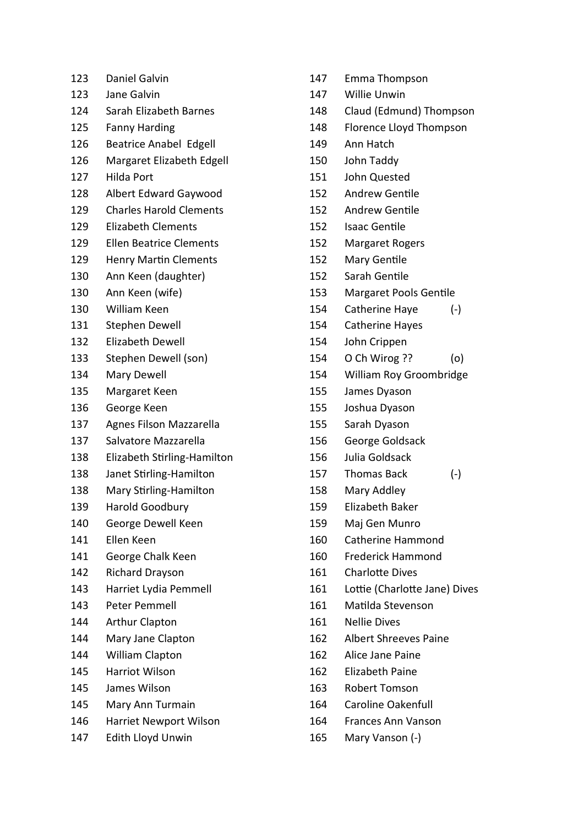| 123 | <b>Daniel Galvin</b>           |  |
|-----|--------------------------------|--|
| 123 | Jane Galvin                    |  |
| 124 | Sarah Elizabeth Barnes         |  |
| 125 | <b>Fanny Harding</b>           |  |
| 126 | <b>Beatrice Anabel Edgell</b>  |  |
| 126 | Margaret Elizabeth Edgell      |  |
| 127 | <b>Hilda Port</b>              |  |
| 128 | <b>Albert Edward Gaywood</b>   |  |
| 129 | <b>Charles Harold Clements</b> |  |
| 129 | <b>Elizabeth Clements</b>      |  |
| 129 | <b>Ellen Beatrice Clements</b> |  |
| 129 | <b>Henry Martin Clements</b>   |  |
| 130 | Ann Keen (daughter)            |  |
| 130 | Ann Keen (wife)                |  |
| 130 | <b>William Keen</b>            |  |
| 131 | <b>Stephen Dewell</b>          |  |
| 132 | <b>Elizabeth Dewell</b>        |  |
| 133 | Stephen Dewell (son)           |  |
| 134 | Mary Dewell                    |  |
| 135 | Margaret Keen                  |  |
| 136 | George Keen                    |  |
| 137 | Agnes Filson Mazzarella        |  |
| 137 | Salvatore Mazzarella           |  |
| 138 | Elizabeth Stirling-Hamilton    |  |
| 138 | Janet Stirling-Hamilton        |  |
| 138 | Mary Stirling-Hamilton         |  |
| 139 | <b>Harold Goodbury</b>         |  |
| 140 | George Dewell Keen             |  |
| 141 | Ellen Keen                     |  |
| 141 | George Chalk Keen              |  |
| 142 | <b>Richard Drayson</b>         |  |
| 143 | Harriet Lydia Pemmell          |  |
| 143 | <b>Peter Pemmell</b>           |  |
| 144 | <b>Arthur Clapton</b>          |  |
| 144 | Mary Jane Clapton              |  |
| 144 | William Clapton                |  |
| 145 | Harriot Wilson                 |  |
| 145 | James Wilson                   |  |
| 145 | Mary Ann Turmain               |  |
| 146 | <b>Harriet Newport Wilson</b>  |  |
| 147 | Edith Lloyd Unwin              |  |

- 147 Emma Thompson
- 147 Willie Unwin
- 148 Claud (Edmund) Thompson
- 148 Florence Lloyd Thompson
- 149 Ann Hatch
- 150 John Taddy
- 151 John Quested
- 152 Andrew Gentile
- 152 Andrew Gentile
- 152 Isaac Gentile
- 152 Margaret Rogers
- 152 Mary Gentile
- 152 Sarah Gentile
- 153 Margaret Pools Gentile
- 154 Catherine Haye (-)
- 154 Catherine Hayes
- 154 John Crippen
- 154 O Ch Wirog ?? (o)
- 154 William Roy Groombridge
- 155 James Dyason
- 155 Joshua Dyason
- 155 Sarah Dyason
- 156 George Goldsack
- 156 Julia Goldsack
- 157 Thomas Back (-)
- 158 Mary Addley
- 159 Elizabeth Baker
- 159 Maj Gen Munro
- 160 Catherine Hammond
- 160 Frederick Hammond
- 161 Charlotte Dives
- 161 Lottie (Charlotte Jane) Dives
- 161 Matilda Stevenson
- 161 Nellie Dives
- 162 Albert Shreeves Paine
- 162 Alice Jane Paine
- 162 Elizabeth Paine
- 163 Robert Tomson
- 164 Caroline Oakenfull
- 164 Frances Ann Vanson
- 165 Mary Vanson (-)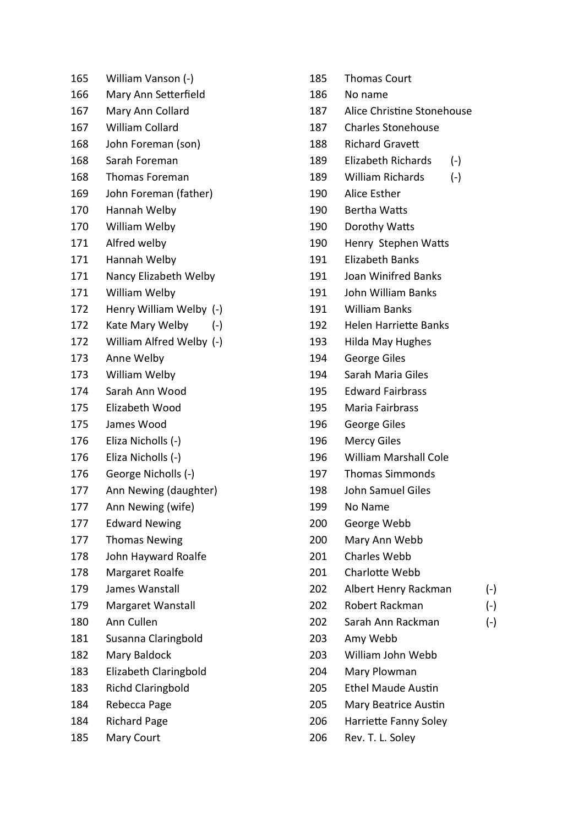| 165 | William Vanson (-)           |
|-----|------------------------------|
| 166 | Mary Ann Setterfield         |
| 167 | Mary Ann Collard             |
| 167 | <b>William Collard</b>       |
| 168 | John Foreman (son)           |
| 168 | Sarah Foreman                |
| 168 | Thomas Foreman               |
| 169 | John Foreman (father)        |
| 170 | Hannah Welby                 |
| 170 | William Welby                |
| 171 | Alfred welby                 |
| 171 | Hannah Welby                 |
| 171 | Nancy Elizabeth Welby        |
| 171 | William Welby                |
| 172 | Henry William Welby (-)      |
| 172 | Kate Mary Welby<br>$(-)$     |
| 172 | William Alfred Welby (-)     |
| 173 | Anne Welby                   |
| 173 | William Welby                |
| 174 | Sarah Ann Wood               |
| 175 | Elizabeth Wood               |
| 175 | James Wood                   |
| 176 | Eliza Nicholls (-)           |
| 176 | Eliza Nicholls (-)           |
| 176 | George Nicholls (-)          |
| 177 | Ann Newing (daughter)        |
| 177 | Ann Newing (wife)            |
| 177 | <b>Edward Newing</b>         |
| 177 | <b>Thomas Newing</b>         |
| 178 | John Hayward Roalfe          |
| 178 | Margaret Roalfe              |
| 179 | James Wanstall               |
| 179 | Margaret Wanstall            |
| 180 | Ann Cullen                   |
| 181 | Susanna Claringbold          |
| 182 | Mary Baldock                 |
| 183 | <b>Elizabeth Claringbold</b> |
| 183 | <b>Richd Claringbold</b>     |
| 184 | Rebecca Page                 |
| 184 | <b>Richard Page</b>          |
| 185 | <b>Mary Court</b>            |

- 185 Thomas Court 186 No name 187 Alice Christine Stonehouse 187 Charles Stonehouse 188 Richard Gravett 189 Elizabeth Richards (-) 189 William Richards (-) 190 Alice Esther 190 Bertha Watts 190 Dorothy Watts 190 Henry Stephen Watts 191 Elizabeth Banks 191 Joan Winifred Banks 191 John William Banks 191 William Banks 192 Helen Harriette Banks 193 Hilda May Hughes 194 George Giles 194 Sarah Maria Giles 195 Edward Fairbrass 195 Maria Fairbrass 196 George Giles 196 Mercy Giles 196 William Marshall Cole 197 Thomas Simmonds 198 John Samuel Giles 199 No Name 200 George Webb 200 Mary Ann Webb 201 Charles Webb 201 Charlotte Webb 202 Albert Henry Rackman (-) 202 Robert Rackman (-) 202 Sarah Ann Rackman (-) 203 Amy Webb 203 William John Webb 204 Mary Plowman 205 Ethel Maude Austin 205 Mary Beatrice Austin 206 Harriette Fanny Soley
	- 206 Rev. T. L. Soley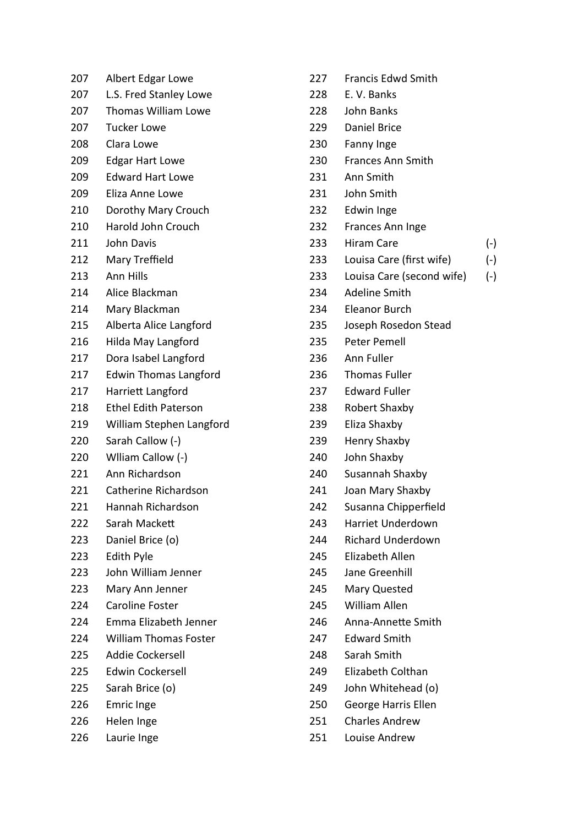| 207 | Albert Edgar Lowe            |
|-----|------------------------------|
| 207 | L.S. Fred Stanley Lowe       |
| 207 | Thomas William Lowe          |
| 207 | <b>Tucker Lowe</b>           |
| 208 | Clara Lowe                   |
| 209 | <b>Edgar Hart Lowe</b>       |
| 209 | <b>Edward Hart Lowe</b>      |
| 209 | Eliza Anne Lowe              |
| 210 | Dorothy Mary Crouch          |
| 210 | Harold John Crouch           |
| 211 | John Davis                   |
| 212 | Mary Treffield               |
| 213 | Ann Hills                    |
| 214 | Alice Blackman               |
| 214 | Mary Blackman                |
| 215 | Alberta Alice Langford       |
| 216 | Hilda May Langford           |
| 217 | Dora Isabel Langford         |
| 217 | <b>Edwin Thomas Langford</b> |
| 217 | Harriett Langford            |
| 218 | <b>Ethel Edith Paterson</b>  |
| 219 | William Stephen Langford     |
| 220 | Sarah Callow (-)             |
| 220 | Wiliam Callow (-)            |
| 221 | Ann Richardson               |
| 221 | Catherine Richardson         |
| 221 | Hannah Richardson            |
| 222 | Sarah Mackett                |
| 223 | Daniel Brice (o)             |
| 223 | Edith Pyle                   |
| 223 | John William Jenner          |
| 223 | Mary Ann Jenner              |
| 224 | <b>Caroline Foster</b>       |
| 224 | Emma Elizabeth Jenner        |
| 224 | <b>William Thomas Foster</b> |
| 225 | <b>Addie Cockersell</b>      |
| 225 | <b>Edwin Cockersell</b>      |
| 225 | Sarah Brice (o)              |
| 226 | <b>Emric Inge</b>            |
| 226 | Helen Inge                   |
| 226 | Laurie Inge                  |

| 227   | <b>Francis Edwd Smith</b> |       |
|-------|---------------------------|-------|
| 228   | E. V. Banks               |       |
| 228   | John Banks                |       |
| 229   | <b>Daniel Brice</b>       |       |
| 230   | Fanny Inge                |       |
| 230   | <b>Frances Ann Smith</b>  |       |
| 231   | Ann Smith                 |       |
| 231   | John Smith                |       |
| 232   | Edwin Inge                |       |
| 232   | Frances Ann Inge          |       |
| 233   | <b>Hiram Care</b>         | $(-)$ |
| 233   | Louisa Care (first wife)  | $(-)$ |
| 233   | Louisa Care (second wife) | $(-)$ |
| 234   | Adeline Smith             |       |
| 234   | Eleanor Burch             |       |
| 235   | Joseph Rosedon Stead      |       |
| 235   | Peter Pemell              |       |
| 236   | Ann Fuller                |       |
| 236   | <b>Thomas Fuller</b>      |       |
| 237   | <b>Edward Fuller</b>      |       |
| 238   | Robert Shaxby             |       |
| 239   | Eliza Shaxby              |       |
| 239   | <b>Henry Shaxby</b>       |       |
| 240   | John Shaxby               |       |
| 240 - | Susannah Shaxby           |       |
| 241   | Joan Mary Shaxby          |       |
| 242   | Susanna Chipperfield      |       |
| 243   | Harriet Underdown         |       |
| 244   | <b>Richard Underdown</b>  |       |
| 245   | Elizabeth Allen           |       |
| 245   | Jane Greenhill            |       |
| 245   | Mary Quested              |       |
| 245   | William Allen             |       |
| 246   | Anna-Annette Smith        |       |
| 247   | <b>Edward Smith</b>       |       |
| 248   | Sarah Smith               |       |
| 249   | Elizabeth Colthan         |       |
| 249   | John Whitehead (o)        |       |
| 250   | George Harris Ellen       |       |
| 251   | <b>Charles Andrew</b>     |       |
| 251   | Louise Andrew             |       |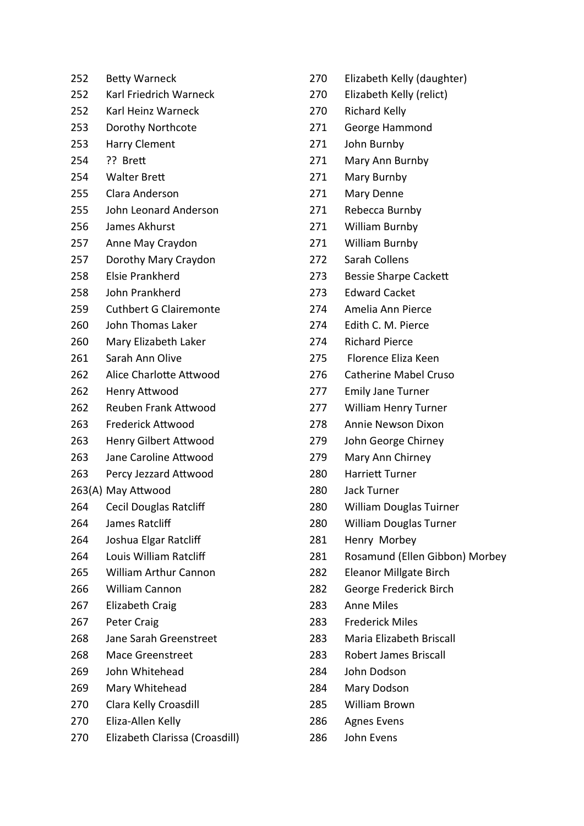| 252 | <b>Betty Warneck</b>          |
|-----|-------------------------------|
| 252 | <b>Karl Friedrich Warneck</b> |
| 252 | Karl Heinz Warneck            |
| 253 | Dorothy Northcote             |
| 253 | <b>Harry Clement</b>          |
| 254 | ?? Brett                      |
| 254 | <b>Walter Brett</b>           |
| 255 | Clara Anderson                |
| 255 | John Leonard Anderson         |
| 256 | James Akhurst                 |
| 257 | Anne May Craydon              |
| 257 | Dorothy Mary Craydon          |
| 258 | <b>Elsie Prankherd</b>        |
| 258 | John Prankherd                |
| 259 | <b>Cuthbert G Clairemonte</b> |
| 260 | John Thomas Laker             |
| 260 | Mary Elizabeth Laker          |
| 261 | Sarah Ann Olive               |
| 262 | Alice Charlotte Attwood       |
| 262 | Henry Attwood                 |
| 262 | <b>Reuben Frank Attwood</b>   |
| 263 | <b>Frederick Attwood</b>      |
| 263 | <b>Henry Gilbert Attwood</b>  |
| 263 | Jane Caroline Attwood         |
| 263 | Percy Jezzard Attwood         |
|     | 263(A) May Attwood            |
| 264 | Cecil Douglas Ratcliff        |
| 264 | James Ratcliff                |
| 264 | Joshua Elgar Ratcliff         |
| 264 | Louis William Ratcliff        |
| 265 | <b>William Arthur Cannon</b>  |
| 266 | William Cannon                |
| 267 | <b>Elizabeth Craig</b>        |
| 267 | <b>Peter Craig</b>            |
| 268 | Jane Sarah Greenstreet        |
| 268 | <b>Mace Greenstreet</b>       |
| 269 | John Whitehead                |
| 269 | Mary Whitehead                |
| 270 | Clara Kelly Croasdill         |
| 270 | Eliza-Allen Kelly             |
|     |                               |

270 Elizabeth Clarissa (Croasdill)

- 270 Elizabeth Kelly (daughter)
- 270 Elizabeth Kelly (relict)
- 270 Richard Kelly
- 271 George Hammond
- 271 John Burnby
- 271 Mary Ann Burnby
- 271 Mary Burnby
- 271 Mary Denne
- 271 Rebecca Burnby
- 271 William Burnby
- 271 William Burnby
- 272 Sarah Collens
- 273 Bessie Sharpe Cackett
- 273 Edward Cacket
- 274 Amelia Ann Pierce
- 274 Edith C. M. Pierce
- 274 Richard Pierce
- 275 Florence Eliza Keen
- 276 Catherine Mabel Cruso
- 277 Emily Jane Turner
- 277 William Henry Turner
- 278 Annie Newson Dixon
- 279 John George Chirney
- 279 Mary Ann Chirney
- 280 Harriett Turner
- 280 Jack Turner
- 280 William Douglas Tuirner
- 280 William Douglas Turner
- 281 Henry Morbey
- 281 Rosamund (Ellen Gibbon) Morbey
- 282 Eleanor Millgate Birch
- 282 George Frederick Birch
- 283 Anne Miles
- 283 Frederick Miles
- 283 Maria Elizabeth Briscall
- 283 Robert James Briscall
- 284 John Dodson
- 284 Mary Dodson
- 285 William Brown
- 286 Agnes Evens
- 286 John Evens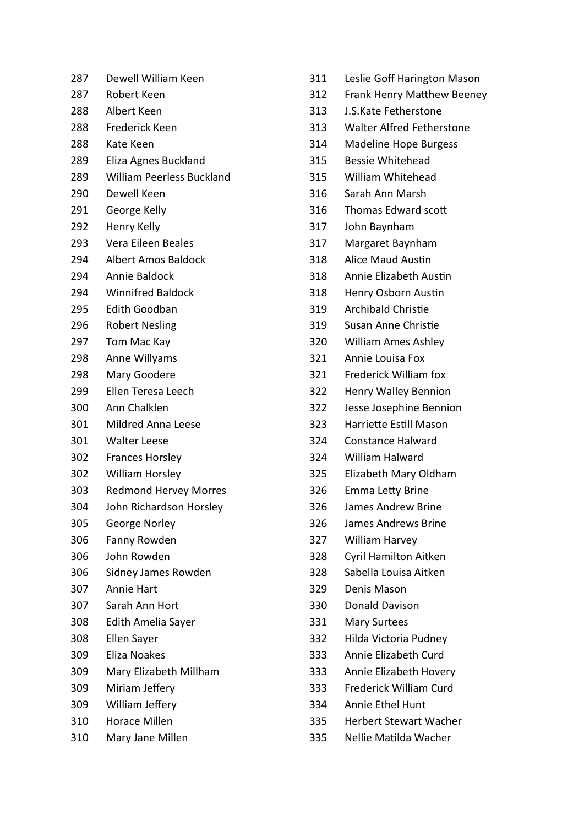| 287 | Dewell William Keen              |
|-----|----------------------------------|
| 287 | Robert Keen                      |
| 288 | Albert Keen                      |
| 288 | Frederick Keen                   |
| 288 | Kate Keen                        |
| 289 | Eliza Agnes Buckland             |
| 289 | <b>William Peerless Buckland</b> |
| 290 | Dewell Keen                      |
| 291 | George Kelly                     |
| 292 | Henry Kelly                      |
| 293 | Vera Eileen Beales               |
| 294 | <b>Albert Amos Baldock</b>       |
| 294 | Annie Baldock                    |
| 294 | <b>Winnifred Baldock</b>         |
| 295 | Edith Goodban                    |
| 296 | <b>Robert Nesling</b>            |
| 297 | Tom Mac Kay                      |
| 298 | Anne Willyams                    |
| 298 | Mary Goodere                     |
| 299 | Ellen Teresa Leech               |
| 300 | Ann Chalklen                     |
| 301 | Mildred Anna Leese               |
| 301 | <b>Walter Leese</b>              |
| 302 | <b>Frances Horsley</b>           |
| 302 | <b>William Horsley</b>           |
| 303 | <b>Redmond Hervey Morres</b>     |
| 304 | John Richardson Horsley          |
| 305 | George Norley                    |
| 306 | Fanny Rowden                     |
| 306 | John Rowden                      |
| 306 | Sidney James Rowden              |
| 307 | <b>Annie Hart</b>                |
| 307 | Sarah Ann Hort                   |
| 308 | Edith Amelia Sayer               |
| 308 | Ellen Sayer                      |
| 309 | Eliza Noakes                     |
| 309 | Mary Elizabeth Millham           |
| 309 | Miriam Jeffery                   |
| 309 | William Jeffery                  |
| 310 | <b>Horace Millen</b>             |
| 310 | Mary Jane Millen                 |

- 311 Leslie Goff Harington Mason 312 Frank Henry Matthew Beeney 313 J.S.Kate Fetherstone 313 Walter Alfred Fetherstone 314 Madeline Hope Burgess 315 Bessie Whitehead 315 William Whitehead 316 Sarah Ann Marsh 316 Thomas Edward scott 317 John Baynham 317 Margaret Baynham 318 Alice Maud Austin 318 Annie Elizabeth Austin 318 Henry Osborn Austin 319 Archibald Christie 319 Susan Anne Christie 320 William Ames Ashley 321 Annie Louisa Fox 321 Frederick William fox 322 Henry Walley Bennion 322 Jesse Josephine Bennion 323 Harriette Estill Mason 324 Constance Halward 324 William Halward 325 Elizabeth Mary Oldham 326 Emma Letty Brine 326 James Andrew Brine 326 James Andrews Brine 327 William Harvey 328 Cyril Hamilton Aitken 328 Sabella Louisa Aitken 329 Denis Mason 330 Donald Davison 331 Mary Surtees
- 332 Hilda Victoria Pudney
- 333 Annie Elizabeth Curd
- 333 Annie Elizabeth Hovery
- 333 Frederick William Curd
- 334 Annie Ethel Hunt
- 335 Herbert Stewart Wacher
	- 335 Nellie MaƟlda Wacher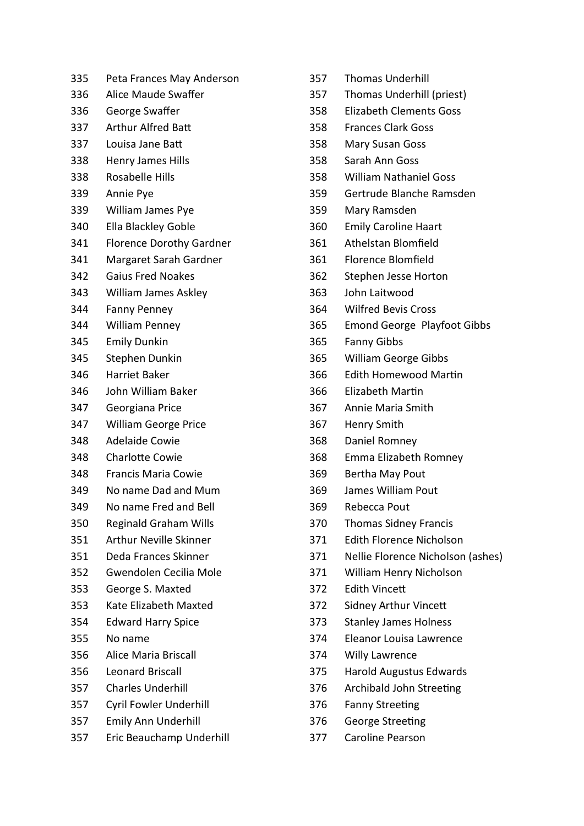| 335 | Peta Frances May Anderson       |  |
|-----|---------------------------------|--|
| 336 | Alice Maude Swaffer             |  |
| 336 | George Swaffer                  |  |
| 337 | <b>Arthur Alfred Batt</b>       |  |
| 337 | Louisa Jane Batt                |  |
| 338 | <b>Henry James Hills</b>        |  |
| 338 | <b>Rosabelle Hills</b>          |  |
| 339 | Annie Pye                       |  |
| 339 | William James Pye               |  |
| 340 | Ella Blackley Goble             |  |
| 341 | <b>Florence Dorothy Gardner</b> |  |
| 341 | Margaret Sarah Gardner          |  |
| 342 | <b>Gaius Fred Noakes</b>        |  |
| 343 | <b>William James Askley</b>     |  |
| 344 | <b>Fanny Penney</b>             |  |
| 344 | <b>William Penney</b>           |  |
| 345 | <b>Emily Dunkin</b>             |  |
| 345 | Stephen Dunkin                  |  |
| 346 | Harriet Baker                   |  |
| 346 | John William Baker              |  |
| 347 | Georgiana Price                 |  |
| 347 | <b>William George Price</b>     |  |
| 348 | <b>Adelaide Cowie</b>           |  |
| 348 | Charlotte Cowie                 |  |
| 348 | <b>Francis Maria Cowie</b>      |  |
| 349 | No name Dad and Mum             |  |
| 349 | No name Fred and Bell           |  |
| 350 | <b>Reginald Graham Wills</b>    |  |
| 351 | <b>Arthur Neville Skinner</b>   |  |
| 351 | Deda Frances Skinner            |  |
| 352 | Gwendolen Cecilia Mole          |  |
| 353 | George S. Maxted                |  |
| 353 | Kate Elizabeth Maxted           |  |
| 354 | <b>Edward Harry Spice</b>       |  |
| 355 | No name                         |  |
| 356 | Alice Maria Briscall            |  |
| 356 | <b>Leonard Briscall</b>         |  |
| 357 | <b>Charles Underhill</b>        |  |
| 357 | <b>Cyril Fowler Underhill</b>   |  |
| 357 | Emily Ann Underhill             |  |
| 357 | Eric Beauchamp Underhill        |  |

| 357 | <b>Thomas Underhill</b>            |
|-----|------------------------------------|
| 357 | Thomas Underhill (priest)          |
| 358 | <b>Elizabeth Clements Goss</b>     |
| 358 | <b>Frances Clark Goss</b>          |
| 358 | <b>Mary Susan Goss</b>             |
| 358 | Sarah Ann Goss                     |
| 358 | <b>William Nathaniel Goss</b>      |
| 359 | Gertrude Blanche Ramsden           |
| 359 | Mary Ramsden                       |
| 360 | <b>Emily Caroline Haart</b>        |
| 361 | Athelstan Blomfield                |
| 361 | <b>Florence Blomfield</b>          |
| 362 | Stephen Jesse Horton               |
| 363 | John Laitwood                      |
| 364 | <b>Wilfred Bevis Cross</b>         |
| 365 | <b>Emond George Playfoot Gibbs</b> |
| 365 | <b>Fanny Gibbs</b>                 |
| 365 | <b>William George Gibbs</b>        |
| 366 | <b>Edith Homewood Martin</b>       |
| 366 | <b>Elizabeth Martin</b>            |
| 367 | Annie Maria Smith                  |
| 367 | <b>Henry Smith</b>                 |
| 368 | Daniel Romney                      |
| 368 | Emma Elizabeth Romney              |
| 369 | Bertha May Pout                    |
| 369 | James William Pout                 |
| 369 | Rebecca Pout                       |
| 370 | <b>Thomas Sidney Francis</b>       |
| 371 | <b>Edith Florence Nicholson</b>    |
| 371 | Nellie Florence Nicholson (ashes)  |
| 371 | William Henry Nicholson            |
| 372 | <b>Edith Vincett</b>               |
| 372 | Sidney Arthur Vincett              |
| 373 | <b>Stanley James Holness</b>       |
| 374 | Eleanor Louisa Lawrence            |
| 374 | <b>Willy Lawrence</b>              |
| 375 | <b>Harold Augustus Edwards</b>     |
| 376 | Archibald John Streeting           |
| 376 | <b>Fanny Streeting</b>             |
| 376 | George Streeting                   |
| 377 | Caroline Pearson                   |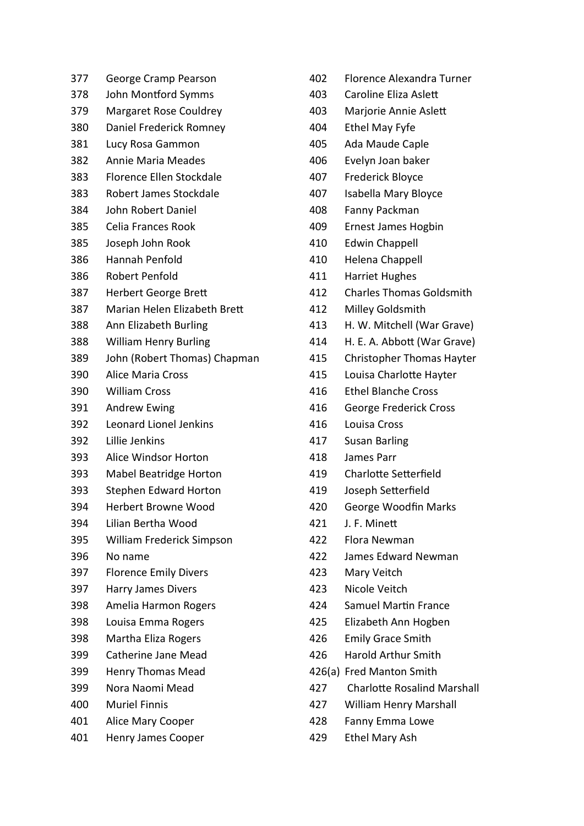| 377 | George Cramp Pearson            |
|-----|---------------------------------|
| 378 | John Montford Symms             |
| 379 | <b>Margaret Rose Couldrey</b>   |
| 380 | Daniel Frederick Romney         |
| 381 | Lucy Rosa Gammon                |
| 382 | <b>Annie Maria Meades</b>       |
| 383 | <b>Florence Ellen Stockdale</b> |
| 383 | Robert James Stockdale          |
| 384 | John Robert Daniel              |
| 385 | Celia Frances Rook              |
| 385 | Joseph John Rook                |
| 386 | Hannah Penfold                  |
| 386 | <b>Robert Penfold</b>           |
| 387 | <b>Herbert George Brett</b>     |
| 387 | Marian Helen Elizabeth Brett    |
| 388 | Ann Elizabeth Burling           |
| 388 | <b>William Henry Burling</b>    |
| 389 | John (Robert Thomas) Chapman    |
| 390 | <b>Alice Maria Cross</b>        |
| 390 | <b>William Cross</b>            |
| 391 | <b>Andrew Ewing</b>             |
| 392 | <b>Leonard Lionel Jenkins</b>   |
| 392 | Lillie Jenkins                  |
| 393 | Alice Windsor Horton            |
| 393 | <b>Mabel Beatridge Horton</b>   |
| 393 | <b>Stephen Edward Horton</b>    |
| 394 | <b>Herbert Browne Wood</b>      |
| 394 | Lilian Bertha Wood              |
| 395 | William Frederick Simpson       |
| 396 | No name                         |
| 397 | <b>Florence Emily Divers</b>    |
| 397 | <b>Harry James Divers</b>       |
| 398 | Amelia Harmon Rogers            |
| 398 | Louisa Emma Rogers              |
| 398 | Martha Eliza Rogers             |
| 399 | Catherine Jane Mead             |
| 399 | <b>Henry Thomas Mead</b>        |
| 399 | Nora Naomi Mead                 |
| 400 | <b>Muriel Finnis</b>            |
| 401 | Alice Mary Cooper               |
| 401 | <b>Henry James Cooper</b>       |

- 402 Florence Alexandra Turner 403 Caroline Eliza Aslett 403 Marjorie Annie Aslett 404 Ethel May Fyfe 405 Ada Maude Caple 406 Evelyn Joan baker 407 Frederick Bloyce 407 Isabella Mary Bloyce 408 Fanny Packman 409 Ernest James Hogbin 410 Edwin Chappell 410 Helena Chappell 411 Harriet Hughes 412 Charles Thomas Goldsmith 412 Milley Goldsmith 413 H. W. Mitchell (War Grave) 414 H. E. A. Abbott (War Grave) 415 Christopher Thomas Hayter 415 Louisa Charlotte Hayter 416 Ethel Blanche Cross 416 George Frederick Cross 416 Louisa Cross 417 Susan Barling 418 James Parr 419 Charlotte Setterfield 419 Joseph Setterfield 420 George Woodfin Marks 421 J. F. Minett 422 Flora Newman 422 James Edward Newman 423 Mary Veitch 423 Nicole Veitch 424 Samuel Martin France 425 Elizabeth Ann Hogben
- 426 Emily Grace Smith
- 426 Harold Arthur Smith
- 426(a) Fred Manton Smith
- 427 Charlotte Rosalind Marshall
- 427 William Henry Marshall
- 428 Fanny Emma Lowe
- 429 Ethel Mary Ash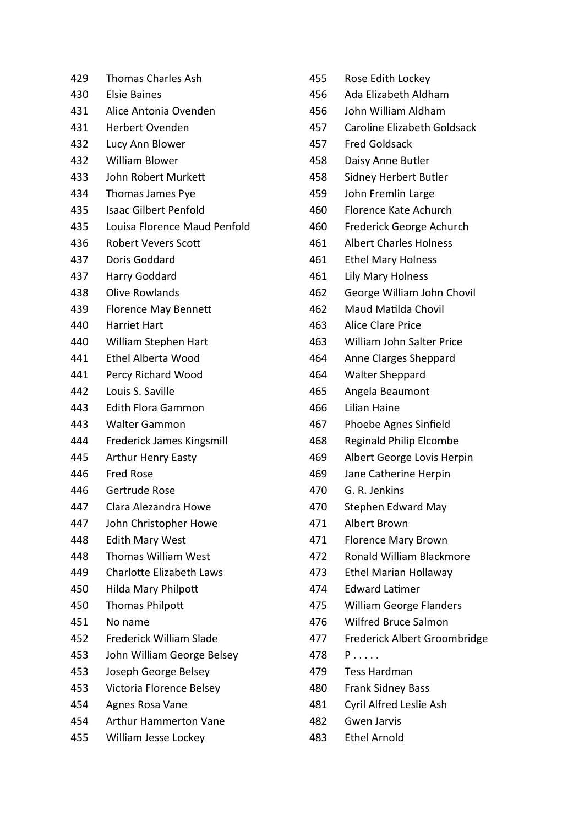| 429 | <b>Thomas Charles Ash</b>    | 455 | Rose Edith Lockey              |
|-----|------------------------------|-----|--------------------------------|
| 430 | <b>Elsie Baines</b>          | 456 | Ada Elizabeth Aldham           |
| 431 | Alice Antonia Ovenden        | 456 | John William Aldham            |
| 431 | <b>Herbert Ovenden</b>       | 457 | Caroline Elizabeth Goldsack    |
| 432 | Lucy Ann Blower              | 457 | <b>Fred Goldsack</b>           |
| 432 | <b>William Blower</b>        | 458 | Daisy Anne Butler              |
| 433 | John Robert Murkett          | 458 | Sidney Herbert Butler          |
| 434 | Thomas James Pye             | 459 | John Fremlin Large             |
| 435 | <b>Isaac Gilbert Penfold</b> | 460 | Florence Kate Achurch          |
| 435 | Louisa Florence Maud Penfold | 460 | Frederick George Achurch       |
| 436 | <b>Robert Vevers Scott</b>   | 461 | <b>Albert Charles Holness</b>  |
| 437 | Doris Goddard                | 461 | <b>Ethel Mary Holness</b>      |
| 437 | Harry Goddard                | 461 | Lily Mary Holness              |
| 438 | <b>Olive Rowlands</b>        | 462 | George William John Chovil     |
| 439 | <b>Florence May Bennett</b>  | 462 | Maud Matilda Chovil            |
| 440 | <b>Harriet Hart</b>          | 463 | Alice Clare Price              |
| 440 | William Stephen Hart         | 463 | William John Salter Price      |
| 441 | Ethel Alberta Wood           | 464 | Anne Clarges Sheppard          |
| 441 | Percy Richard Wood           | 464 | <b>Walter Sheppard</b>         |
| 442 | Louis S. Saville             | 465 | Angela Beaumont                |
| 443 | <b>Edith Flora Gammon</b>    | 466 | Lilian Haine                   |
| 443 | <b>Walter Gammon</b>         | 467 | Phoebe Agnes Sinfield          |
| 444 | Frederick James Kingsmill    | 468 | <b>Reginald Philip Elcombe</b> |
| 445 | <b>Arthur Henry Easty</b>    | 469 | Albert George Lovis Herpin     |
| 446 | <b>Fred Rose</b>             | 469 | Jane Catherine Herpin          |
| 446 | Gertrude Rose                | 470 | G. R. Jenkins                  |
| 447 | Clara Alezandra Howe         | 470 | <b>Stephen Edward May</b>      |
| 447 | John Christopher Howe        | 471 | Albert Brown                   |
| 448 | <b>Edith Mary West</b>       | 471 | <b>Florence Mary Brown</b>     |
| 448 | Thomas William West          | 472 | Ronald William Blackmore       |
| 449 | Charlotte Elizabeth Laws     | 473 | <b>Ethel Marian Hollaway</b>   |
| 450 | Hilda Mary Philpott          | 474 | <b>Edward Latimer</b>          |
| 450 | Thomas Philpott              | 475 | <b>William George Flanders</b> |
| 451 | No name                      | 476 | Wilfred Bruce Salmon           |
| 452 | Frederick William Slade      | 477 | Frederick Albert Groombrid     |
| 453 | John William George Belsey   | 478 | $P \ldots$                     |
| 453 | Joseph George Belsey         | 479 | <b>Tess Hardman</b>            |
| 453 | Victoria Florence Belsey     | 480 | Frank Sidney Bass              |
| 454 | Agnes Rosa Vane              | 481 | Cyril Alfred Leslie Ash        |
| 454 | <b>Arthur Hammerton Vane</b> | 482 | <b>Gwen Jarvis</b>             |
| 455 | William Jesse Lockey         | 483 | <b>Ethel Arnold</b>            |

Albert Groombridge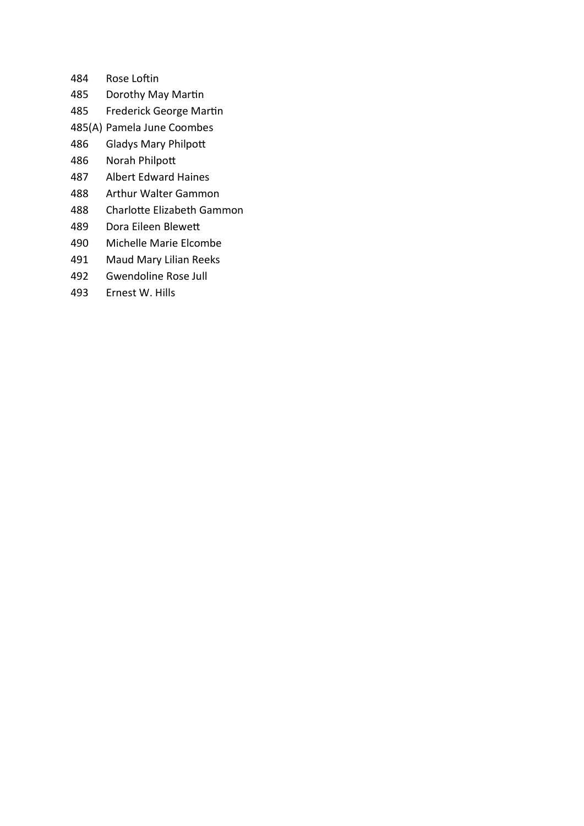- 484 Rose Loftin
- 485 Dorothy May Martin
- 485 Frederick George Martin
- 485(A) Pamela June Coombes
- 486 Gladys Mary Philpott
- 486 Norah Philpott
- 487 Albert Edward Haines
- 488 Arthur Walter Gammon
- 488 Charlotte Elizabeth Gammon
- 489 Dora Eileen Blewett
- 490 Michelle Marie Elcombe
- 491 Maud Mary Lilian Reeks
- 492 Gwendoline Rose Jull
- 493 Ernest W. Hills